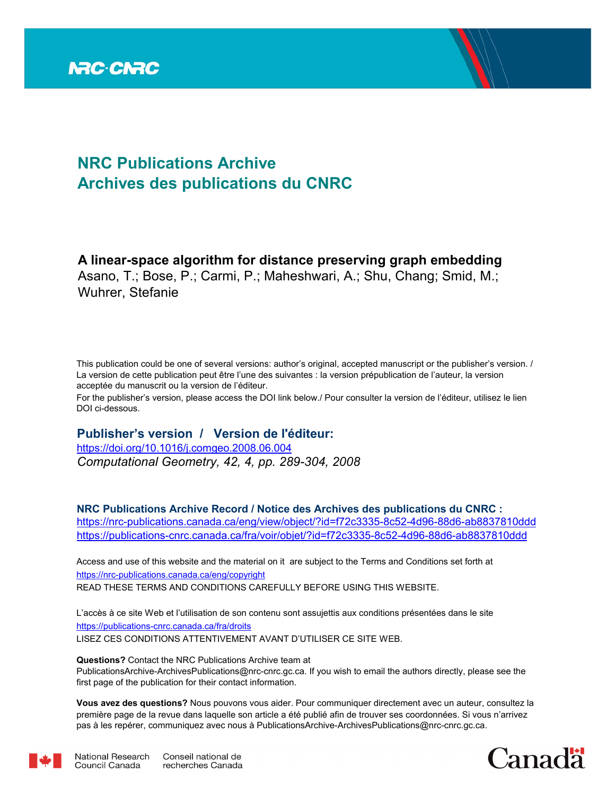

# **NRC Publications Archive Archives des publications du CNRC**

### **A linear-space algorithm for distance preserving graph embedding** Asano, T.; Bose, P.; Carmi, P.; Maheshwari, A.; Shu, Chang; Smid, M.;

Wuhrer, Stefanie

This publication could be one of several versions: author's original, accepted manuscript or the publisher's version. / La version de cette publication peut être l'une des suivantes : la version prépublication de l'auteur, la version acceptée du manuscrit ou la version de l'éditeur.

For the publisher's version, please access the DOI link below./ Pour consulter la version de l'éditeur, utilisez le lien DOI ci-dessous.

### **Publisher's version / Version de l'éditeur:**

*Computational Geometry, 42, 4, pp. 289-304, 2008* https://doi.org/10.1016/j.comgeo.2008.06.004

**NRC Publications Archive Record / Notice des Archives des publications du CNRC :** https://nrc-publications.canada.ca/eng/view/object/?id=f72c3335-8c52-4d96-88d6-ab8837810ddd https://publications-cnrc.canada.ca/fra/voir/objet/?id=f72c3335-8c52-4d96-88d6-ab8837810ddd

READ THESE TERMS AND CONDITIONS CAREFULLY BEFORE USING THIS WEBSITE. https://nrc-publications.canada.ca/eng/copyright Access and use of this website and the material on it are subject to the Terms and Conditions set forth at

https://publications-cnrc.canada.ca/fra/droits L'accès à ce site Web et l'utilisation de son contenu sont assujettis aux conditions présentées dans le site LISEZ CES CONDITIONS ATTENTIVEMENT AVANT D'UTILISER CE SITE WEB.

**Questions?** Contact the NRC Publications Archive team at

PublicationsArchive-ArchivesPublications@nrc-cnrc.gc.ca. If you wish to email the authors directly, please see the first page of the publication for their contact information.

**Vous avez des questions?** Nous pouvons vous aider. Pour communiquer directement avec un auteur, consultez la première page de la revue dans laquelle son article a été publié afin de trouver ses coordonnées. Si vous n'arrivez pas à les repérer, communiquez avec nous à PublicationsArchive-ArchivesPublications@nrc-cnrc.gc.ca.



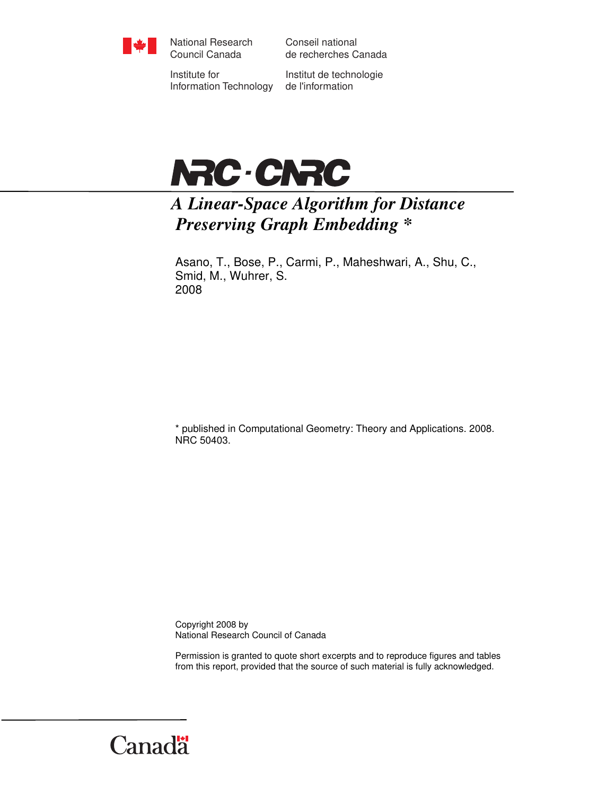

National Research Council Canada

Conseil national de recherches Canada

Institute for Information Technology

Institut de technologie de l'information



# *A Linear-Space Algorithm for Distance Preserving Graph Embedding \**

Asano, T., Bose, P., Carmi, P., Maheshwari, A., Shu, C., Smid, M., Wuhrer, S. 2008

\* published in Computational Geometry: Theory and Applications. 2008. NRC 50403.

Copyright 2008 by National Research Council of Canada

Permission is granted to quote short excerpts and to reproduce figures and tables from this report, provided that the source of such material is fully acknowledged.

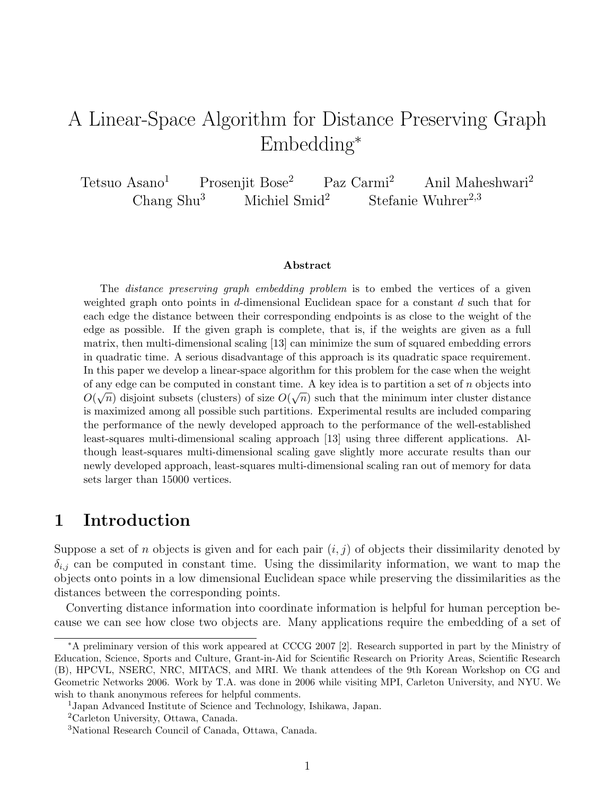# A Linear-Space Algorithm for Distance Preserving Graph Embedding<sup>∗</sup>

Tetsuo Asano<sup>1</sup> Prosenjit Bose<sup>2</sup> Paz Carmi<sup>2</sup> Anil Maheshwari<sup>2</sup> Chang Shu<sup>3</sup> Michiel Smid<sup>2</sup> Stefanie Wuhrer<sup>2,3</sup>

#### Abstract

The distance preserving graph embedding problem is to embed the vertices of a given weighted graph onto points in d-dimensional Euclidean space for a constant  $d$  such that for each edge the distance between their corresponding endpoints is as close to the weight of the edge as possible. If the given graph is complete, that is, if the weights are given as a full matrix, then multi-dimensional scaling [13] can minimize the sum of squared embedding errors in quadratic time. A serious disadvantage of this approach is its quadratic space requirement. In this paper we develop a linear-space algorithm for this problem for the case when the weight of any edge can be computed in constant time. A key idea is to partition a set of  $n$  objects into  $O(\sqrt{n})$  disjoint subsets (clusters) of size  $O(\sqrt{n})$  such that the minimum inter cluster distance is maximized among all possible such partitions. Experimental results are included comparing the performance of the newly developed approach to the performance of the well-established least-squares multi-dimensional scaling approach [13] using three different applications. Although least-squares multi-dimensional scaling gave slightly more accurate results than our newly developed approach, least-squares multi-dimensional scaling ran out of memory for data sets larger than 15000 vertices.

# 1 Introduction

Suppose a set of n objects is given and for each pair  $(i, j)$  of objects their dissimilarity denoted by  $\delta_{i,j}$  can be computed in constant time. Using the dissimilarity information, we want to map the objects onto points in a low dimensional Euclidean space while preserving the dissimilarities as the distances between the corresponding points.

Converting distance information into coordinate information is helpful for human perception because we can see how close two objects are. Many applications require the embedding of a set of

<sup>∗</sup>A preliminary version of this work appeared at CCCG 2007 [2]. Research supported in part by the Ministry of Education, Science, Sports and Culture, Grant-in-Aid for Scientific Research on Priority Areas, Scientific Research (B), HPCVL, NSERC, NRC, MITACS, and MRI. We thank attendees of the 9th Korean Workshop on CG and Geometric Networks 2006. Work by T.A. was done in 2006 while visiting MPI, Carleton University, and NYU. We wish to thank anonymous referees for helpful comments.

<sup>1</sup>Japan Advanced Institute of Science and Technology, Ishikawa, Japan.

<sup>2</sup>Carleton University, Ottawa, Canada.

<sup>3</sup>National Research Council of Canada, Ottawa, Canada.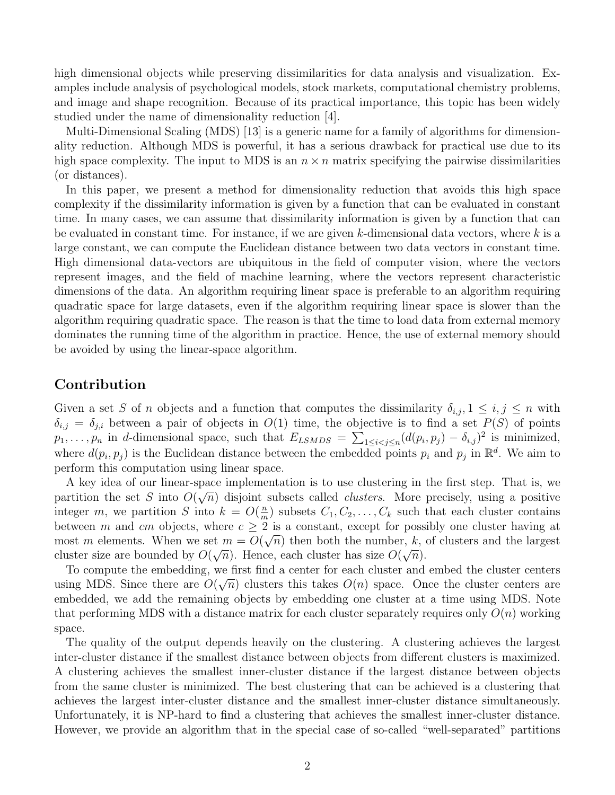high dimensional objects while preserving dissimilarities for data analysis and visualization. Examples include analysis of psychological models, stock markets, computational chemistry problems, and image and shape recognition. Because of its practical importance, this topic has been widely studied under the name of dimensionality reduction [4].

Multi-Dimensional Scaling (MDS) [13] is a generic name for a family of algorithms for dimensionality reduction. Although MDS is powerful, it has a serious drawback for practical use due to its high space complexity. The input to MDS is an  $n \times n$  matrix specifying the pairwise dissimilarities (or distances).

In this paper, we present a method for dimensionality reduction that avoids this high space complexity if the dissimilarity information is given by a function that can be evaluated in constant time. In many cases, we can assume that dissimilarity information is given by a function that can be evaluated in constant time. For instance, if we are given  $k$ -dimensional data vectors, where  $k$  is a large constant, we can compute the Euclidean distance between two data vectors in constant time. High dimensional data-vectors are ubiquitous in the field of computer vision, where the vectors represent images, and the field of machine learning, where the vectors represent characteristic dimensions of the data. An algorithm requiring linear space is preferable to an algorithm requiring quadratic space for large datasets, even if the algorithm requiring linear space is slower than the algorithm requiring quadratic space. The reason is that the time to load data from external memory dominates the running time of the algorithm in practice. Hence, the use of external memory should be avoided by using the linear-space algorithm.

#### Contribution

Given a set S of n objects and a function that computes the dissimilarity  $\delta_{i,j}, 1 \leq i,j \leq n$  with  $\delta_{i,j} = \delta_{j,i}$  between a pair of objects in  $O(1)$  time, the objective is to find a set  $P(S)$  of points  $p_1, \ldots, p_n$  in d-dimensional space, such that  $E_{LSMDS} = \sum_{1 \leq i < j \leq n} (d(p_i, p_j) - \delta_{i,j})^2$  is minimized, where  $d(p_i, p_j)$  is the Euclidean distance between the embedded points  $p_i$  and  $p_j$  in  $\mathbb{R}^d$ . We aim to perform this computation using linear space.

A key idea of our linear-space implementation is to use clustering in the first step. That is, we partition the set S into  $O(\sqrt{n})$  disjoint subsets called *clusters*. More precisely, using a positive integer m, we partition S into  $k = O(\frac{m}{m})$  $\frac{n}{m}$ ) subsets  $C_1, C_2, \ldots, C_k$  such that each cluster contains between m and cm objects, where  $c \geq 2$  is a constant, except for possibly one cluster having at most m elements. When we set  $m = O(\sqrt{n})$  then both the number, k, of clusters and the largest cluster size are bounded by  $O(\sqrt{n})$ . Hence, each cluster has size  $O(\sqrt{n})$ .

To compute the embedding, we first find a center for each cluster and embed the cluster centers using MDS. Since there are  $O(\sqrt{n})$  clusters this takes  $O(n)$  space. Once the cluster centers are embedded, we add the remaining objects by embedding one cluster at a time using MDS. Note that performing MDS with a distance matrix for each cluster separately requires only  $O(n)$  working space.

The quality of the output depends heavily on the clustering. A clustering achieves the largest inter-cluster distance if the smallest distance between objects from different clusters is maximized. A clustering achieves the smallest inner-cluster distance if the largest distance between objects from the same cluster is minimized. The best clustering that can be achieved is a clustering that achieves the largest inter-cluster distance and the smallest inner-cluster distance simultaneously. Unfortunately, it is NP-hard to find a clustering that achieves the smallest inner-cluster distance. However, we provide an algorithm that in the special case of so-called "well-separated" partitions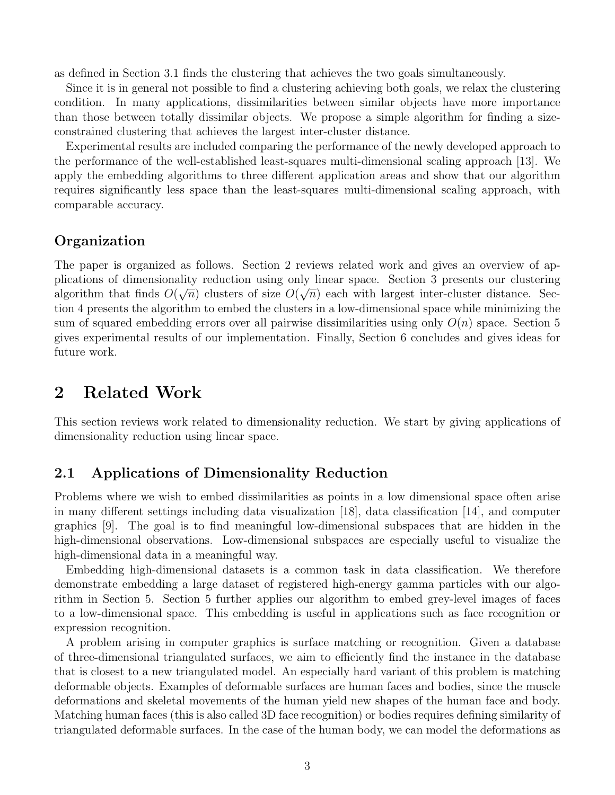as defined in Section 3.1 finds the clustering that achieves the two goals simultaneously.

Since it is in general not possible to find a clustering achieving both goals, we relax the clustering condition. In many applications, dissimilarities between similar objects have more importance than those between totally dissimilar objects. We propose a simple algorithm for finding a sizeconstrained clustering that achieves the largest inter-cluster distance.

Experimental results are included comparing the performance of the newly developed approach to the performance of the well-established least-squares multi-dimensional scaling approach [13]. We apply the embedding algorithms to three different application areas and show that our algorithm requires significantly less space than the least-squares multi-dimensional scaling approach, with comparable accuracy.

#### Organization

The paper is organized as follows. Section 2 reviews related work and gives an overview of applications of dimensionality reduction using only linear space. Section 3 presents our clustering algorithm that finds  $O(\sqrt{n})$  clusters of size  $O(\sqrt{n})$  each with largest inter-cluster distance. Section 4 presents the algorithm to embed the clusters in a low-dimensional space while minimizing the sum of squared embedding errors over all pairwise dissimilarities using only  $O(n)$  space. Section 5 gives experimental results of our implementation. Finally, Section 6 concludes and gives ideas for future work.

## 2 Related Work

This section reviews work related to dimensionality reduction. We start by giving applications of dimensionality reduction using linear space.

#### 2.1 Applications of Dimensionality Reduction

Problems where we wish to embed dissimilarities as points in a low dimensional space often arise in many different settings including data visualization [18], data classification [14], and computer graphics [9]. The goal is to find meaningful low-dimensional subspaces that are hidden in the high-dimensional observations. Low-dimensional subspaces are especially useful to visualize the high-dimensional data in a meaningful way.

Embedding high-dimensional datasets is a common task in data classification. We therefore demonstrate embedding a large dataset of registered high-energy gamma particles with our algorithm in Section 5. Section 5 further applies our algorithm to embed grey-level images of faces to a low-dimensional space. This embedding is useful in applications such as face recognition or expression recognition.

A problem arising in computer graphics is surface matching or recognition. Given a database of three-dimensional triangulated surfaces, we aim to efficiently find the instance in the database that is closest to a new triangulated model. An especially hard variant of this problem is matching deformable objects. Examples of deformable surfaces are human faces and bodies, since the muscle deformations and skeletal movements of the human yield new shapes of the human face and body. Matching human faces (this is also called 3D face recognition) or bodies requires defining similarity of triangulated deformable surfaces. In the case of the human body, we can model the deformations as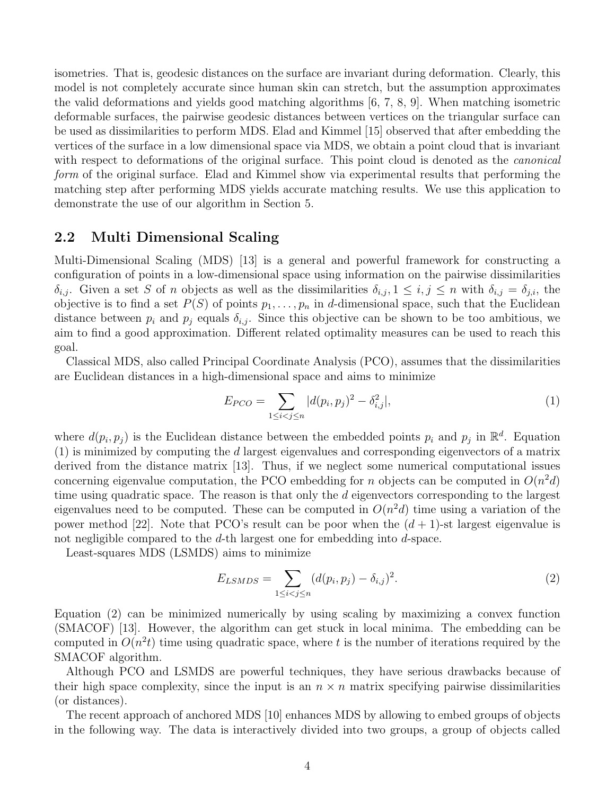isometries. That is, geodesic distances on the surface are invariant during deformation. Clearly, this model is not completely accurate since human skin can stretch, but the assumption approximates the valid deformations and yields good matching algorithms [6, 7, 8, 9]. When matching isometric deformable surfaces, the pairwise geodesic distances between vertices on the triangular surface can be used as dissimilarities to perform MDS. Elad and Kimmel [15] observed that after embedding the vertices of the surface in a low dimensional space via MDS, we obtain a point cloud that is invariant with respect to deformations of the original surface. This point cloud is denoted as the *canonical form* of the original surface. Elad and Kimmel show via experimental results that performing the matching step after performing MDS yields accurate matching results. We use this application to demonstrate the use of our algorithm in Section 5.

### 2.2 Multi Dimensional Scaling

Multi-Dimensional Scaling (MDS) [13] is a general and powerful framework for constructing a configuration of points in a low-dimensional space using information on the pairwise dissimilarities  $\delta_{i,j}$ . Given a set S of n objects as well as the dissimilarities  $\delta_{i,j}$ ,  $1 \leq i,j \leq n$  with  $\delta_{i,j} = \delta_{j,i}$ , the objective is to find a set  $P(S)$  of points  $p_1, \ldots, p_n$  in d-dimensional space, such that the Euclidean distance between  $p_i$  and  $p_j$  equals  $\delta_{i,j}$ . Since this objective can be shown to be too ambitious, we aim to find a good approximation. Different related optimality measures can be used to reach this goal.

Classical MDS, also called Principal Coordinate Analysis (PCO), assumes that the dissimilarities are Euclidean distances in a high-dimensional space and aims to minimize

$$
E_{PCO} = \sum_{1 \le i < j \le n} |d(p_i, p_j)^2 - \delta_{i,j}^2|,\tag{1}
$$

where  $d(p_i, p_j)$  is the Euclidean distance between the embedded points  $p_i$  and  $p_j$  in  $\mathbb{R}^d$ . Equation (1) is minimized by computing the d largest eigenvalues and corresponding eigenvectors of a matrix derived from the distance matrix [13]. Thus, if we neglect some numerical computational issues concerning eigenvalue computation, the PCO embedding for *n* objects can be computed in  $O(n^2d)$ time using quadratic space. The reason is that only the d eigenvectors corresponding to the largest eigenvalues need to be computed. These can be computed in  $O(n^2d)$  time using a variation of the power method [22]. Note that PCO's result can be poor when the  $(d + 1)$ -st largest eigenvalue is not negligible compared to the d-th largest one for embedding into d-space.

Least-squares MDS (LSMDS) aims to minimize

$$
E_{LSMDS} = \sum_{1 \le i < j \le n} (d(p_i, p_j) - \delta_{i,j})^2. \tag{2}
$$

Equation (2) can be minimized numerically by using scaling by maximizing a convex function (SMACOF) [13]. However, the algorithm can get stuck in local minima. The embedding can be computed in  $O(n^2t)$  time using quadratic space, where t is the number of iterations required by the SMACOF algorithm.

Although PCO and LSMDS are powerful techniques, they have serious drawbacks because of their high space complexity, since the input is an  $n \times n$  matrix specifying pairwise dissimilarities (or distances).

The recent approach of anchored MDS [10] enhances MDS by allowing to embed groups of objects in the following way. The data is interactively divided into two groups, a group of objects called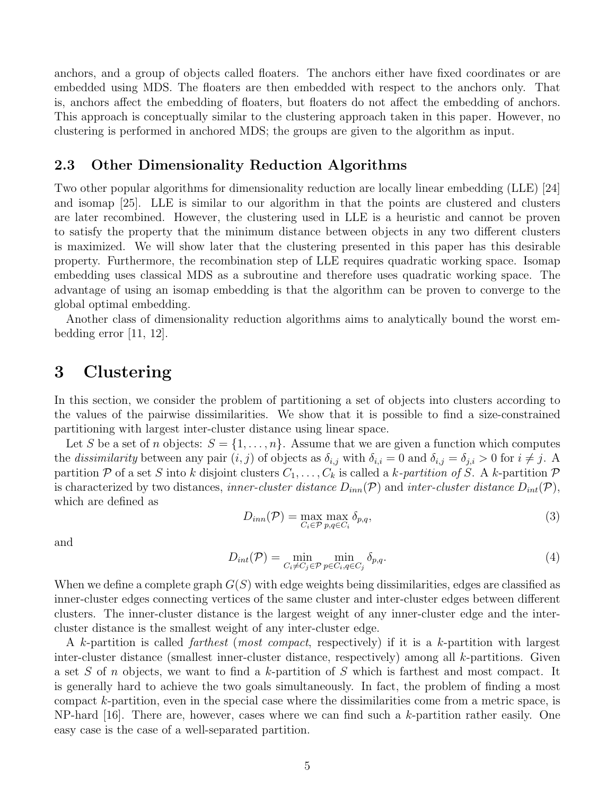anchors, and a group of objects called floaters. The anchors either have fixed coordinates or are embedded using MDS. The floaters are then embedded with respect to the anchors only. That is, anchors affect the embedding of floaters, but floaters do not affect the embedding of anchors. This approach is conceptually similar to the clustering approach taken in this paper. However, no clustering is performed in anchored MDS; the groups are given to the algorithm as input.

### 2.3 Other Dimensionality Reduction Algorithms

Two other popular algorithms for dimensionality reduction are locally linear embedding (LLE) [24] and isomap [25]. LLE is similar to our algorithm in that the points are clustered and clusters are later recombined. However, the clustering used in LLE is a heuristic and cannot be proven to satisfy the property that the minimum distance between objects in any two different clusters is maximized. We will show later that the clustering presented in this paper has this desirable property. Furthermore, the recombination step of LLE requires quadratic working space. Isomap embedding uses classical MDS as a subroutine and therefore uses quadratic working space. The advantage of using an isomap embedding is that the algorithm can be proven to converge to the global optimal embedding.

Another class of dimensionality reduction algorithms aims to analytically bound the worst embedding error [11, 12].

# 3 Clustering

In this section, we consider the problem of partitioning a set of objects into clusters according to the values of the pairwise dissimilarities. We show that it is possible to find a size-constrained partitioning with largest inter-cluster distance using linear space.

Let S be a set of n objects:  $S = \{1, \ldots, n\}$ . Assume that we are given a function which computes the *dissimilarity* between any pair  $(i, j)$  of objects as  $\delta_{i,j}$  with  $\delta_{i,i} = 0$  and  $\delta_{i,j} = \delta_{j,i} > 0$  for  $i \neq j$ . A partition P of a set S into k disjoint clusters  $C_1, \ldots, C_k$  is called a k-partition of S. A k-partition P is characterized by two distances, *inner-cluster distance*  $D_{inn}(\mathcal{P})$  and *inter-cluster distance*  $D_{int}(\mathcal{P})$ , which are defined as

$$
D_{inn}(\mathcal{P}) = \max_{C_i \in \mathcal{P}} \max_{p,q \in C_i} \delta_{p,q},\tag{3}
$$

and

$$
D_{int}(\mathcal{P}) = \min_{C_i \neq C_j \in \mathcal{P}} \min_{p \in C_i, q \in C_j} \delta_{p,q}.
$$
\n(4)

When we define a complete graph  $G(S)$  with edge weights being dissimilarities, edges are classified as inner-cluster edges connecting vertices of the same cluster and inter-cluster edges between different clusters. The inner-cluster distance is the largest weight of any inner-cluster edge and the intercluster distance is the smallest weight of any inter-cluster edge.

A k-partition is called *farthest* (*most compact*, respectively) if it is a k-partition with largest inter-cluster distance (smallest inner-cluster distance, respectively) among all k-partitions. Given a set S of n objects, we want to find a k-partition of S which is farthest and most compact. It is generally hard to achieve the two goals simultaneously. In fact, the problem of finding a most compact k-partition, even in the special case where the dissimilarities come from a metric space, is  $NP$ -hard [16]. There are, however, cases where we can find such a k-partition rather easily. One easy case is the case of a well-separated partition.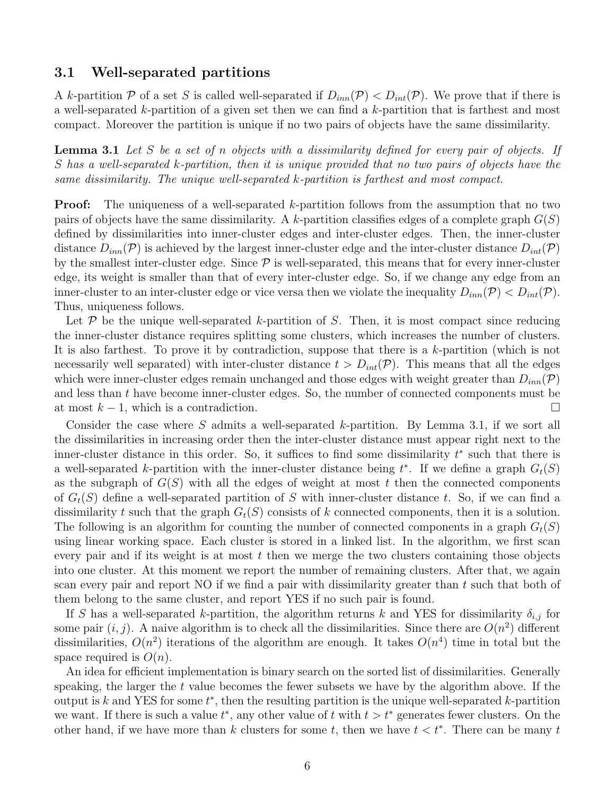#### 3.1 Well-separated partitions

A k-partition P of a set S is called well-separated if  $D_{inn}(\mathcal{P}) < D_{int}(\mathcal{P})$ . We prove that if there is a well-separated k-partition of a given set then we can find a k-partition that is farthest and most compact. Moreover the partition is unique if no two pairs of objects have the same dissimilarity.

Lemma 3.1 *Let* S *be a set of* n *objects with a dissimilarity defined for every pair of objects. If* S *has a well-separated* k*-partition, then it is unique provided that no two pairs of objects have the same dissimilarity. The unique well-separated* k*-partition is farthest and most compact.*

**Proof:** The uniqueness of a well-separated k-partition follows from the assumption that no two pairs of objects have the same dissimilarity. A k-partition classifies edges of a complete graph  $G(S)$ defined by dissimilarities into inner-cluster edges and inter-cluster edges. Then, the inner-cluster distance  $D_{inn}(\mathcal{P})$  is achieved by the largest inner-cluster edge and the inter-cluster distance  $D_{int}(\mathcal{P})$ by the smallest inter-cluster edge. Since  $P$  is well-separated, this means that for every inner-cluster edge, its weight is smaller than that of every inter-cluster edge. So, if we change any edge from an inner-cluster to an inter-cluster edge or vice versa then we violate the inequality  $D_{inn}(\mathcal{P}) < D_{int}(\mathcal{P})$ . Thus, uniqueness follows.

Let  $\mathcal P$  be the unique well-separated k-partition of S. Then, it is most compact since reducing the inner-cluster distance requires splitting some clusters, which increases the number of clusters. It is also farthest. To prove it by contradiction, suppose that there is a k-partition (which is not necessarily well separated) with inter-cluster distance  $t > D_{int}(\mathcal{P})$ . This means that all the edges which were inner-cluster edges remain unchanged and those edges with weight greater than  $D_{inn}(\mathcal{P})$ and less than t have become inner-cluster edges. So, the number of connected components must be at most  $k - 1$ , which is a contradiction.

Consider the case where S admits a well-separated k-partition. By Lemma 3.1, if we sort all the dissimilarities in increasing order then the inter-cluster distance must appear right next to the inner-cluster distance in this order. So, it suffices to find some dissimilarity  $t^*$  such that there is a well-separated k-partition with the inner-cluster distance being  $t^*$ . If we define a graph  $G_t(S)$ as the subgraph of  $G(S)$  with all the edges of weight at most t then the connected components of  $G_t(S)$  define a well-separated partition of S with inner-cluster distance t. So, if we can find a dissimilarity t such that the graph  $G_t(S)$  consists of k connected components, then it is a solution. The following is an algorithm for counting the number of connected components in a graph  $G_t(S)$ using linear working space. Each cluster is stored in a linked list. In the algorithm, we first scan every pair and if its weight is at most  $t$  then we merge the two clusters containing those objects into one cluster. At this moment we report the number of remaining clusters. After that, we again scan every pair and report NO if we find a pair with dissimilarity greater than  $t$  such that both of them belong to the same cluster, and report YES if no such pair is found.

If S has a well-separated k-partition, the algorithm returns k and YES for dissimilarity  $\delta_{i,j}$  for some pair  $(i, j)$ . A naive algorithm is to check all the dissimilarities. Since there are  $O(n^2)$  different dissimilarities,  $O(n^2)$  iterations of the algorithm are enough. It takes  $O(n^4)$  time in total but the space required is  $O(n)$ .

An idea for efficient implementation is binary search on the sorted list of dissimilarities. Generally speaking, the larger the  $t$  value becomes the fewer subsets we have by the algorithm above. If the output is k and YES for some  $t^*$ , then the resulting partition is the unique well-separated k-partition we want. If there is such a value  $t^*$ , any other value of t with  $t > t^*$  generates fewer clusters. On the other hand, if we have more than k clusters for some t, then we have  $t < t^*$ . There can be many t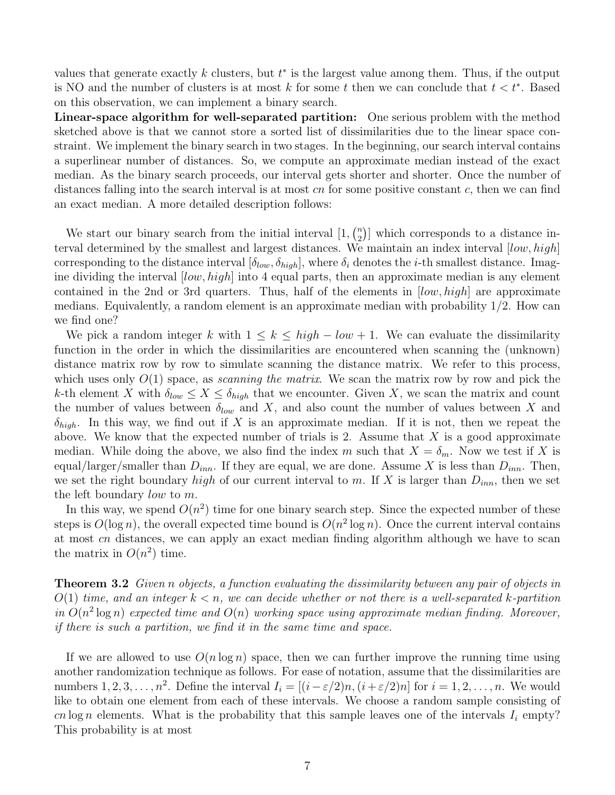values that generate exactly  $k$  clusters, but  $t^*$  is the largest value among them. Thus, if the output is NO and the number of clusters is at most k for some t then we can conclude that  $t < t^*$ . Based on this observation, we can implement a binary search.

Linear-space algorithm for well-separated partition: One serious problem with the method sketched above is that we cannot store a sorted list of dissimilarities due to the linear space constraint. We implement the binary search in two stages. In the beginning, our search interval contains a superlinear number of distances. So, we compute an approximate median instead of the exact median. As the binary search proceeds, our interval gets shorter and shorter. Once the number of distances falling into the search interval is at most  $cn$  for some positive constant c, then we can find an exact median. A more detailed description follows:

We start our binary search from the initial interval  $[1, \binom{n}{2}]$  $\binom{n}{2}$  which corresponds to a distance interval determined by the smallest and largest distances. We maintain an index interval [low, high] corresponding to the distance interval  $[\delta_{low}, \delta_{high}]$ , where  $\delta_i$  denotes the *i*-th smallest distance. Imagine dividing the interval  $[low, high]$  into 4 equal parts, then an approximate median is any element contained in the 2nd or 3rd quarters. Thus, half of the elements in  $[low, high]$  are approximate medians. Equivalently, a random element is an approximate median with probability  $1/2$ . How can we find one?

We pick a random integer k with  $1 \leq k \leq high-low+1$ . We can evaluate the dissimilarity function in the order in which the dissimilarities are encountered when scanning the (unknown) distance matrix row by row to simulate scanning the distance matrix. We refer to this process, which uses only O(1) space, as *scanning the matrix*. We scan the matrix row by row and pick the k-th element X with  $\delta_{low} \leq X \leq \delta_{high}$  that we encounter. Given X, we scan the matrix and count the number of values between  $\delta_{low}$  and X, and also count the number of values between X and  $\delta_{high}$ . In this way, we find out if X is an approximate median. If it is not, then we repeat the above. We know that the expected number of trials is 2. Assume that  $X$  is a good approximate median. While doing the above, we also find the index m such that  $X = \delta_m$ . Now we test if X is equal/larger/smaller than  $D_{inn}$ . If they are equal, we are done. Assume X is less than  $D_{inn}$ . Then, we set the right boundary high of our current interval to m. If X is larger than  $D_{inn}$ , then we set the left boundary low to m.

In this way, we spend  $O(n^2)$  time for one binary search step. Since the expected number of these steps is  $O(\log n)$ , the overall expected time bound is  $O(n^2 \log n)$ . Once the current interval contains at most cn distances, we can apply an exact median finding algorithm although we have to scan the matrix in  $O(n^2)$  time.

Theorem 3.2 *Given* n *objects, a function evaluating the dissimilarity between any pair of objects in*  $O(1)$  *time, and an integer*  $k < n$ *, we can decide whether or not there is a well-separated k-partition* in  $O(n^2 \log n)$  expected time and  $O(n)$  working space using approximate median finding. Moreover, *if there is such a partition, we find it in the same time and space.*

If we are allowed to use  $O(n \log n)$  space, then we can further improve the running time using another randomization technique as follows. For ease of notation, assume that the dissimilarities are numbers  $1, 2, 3, \ldots, n^2$ . Define the interval  $I_i = [(i - \varepsilon/2)n, (i + \varepsilon/2)n]$  for  $i = 1, 2, \ldots, n$ . We would like to obtain one element from each of these intervals. We choose a random sample consisting of cn log n elements. What is the probability that this sample leaves one of the intervals  $I_i$  empty? This probability is at most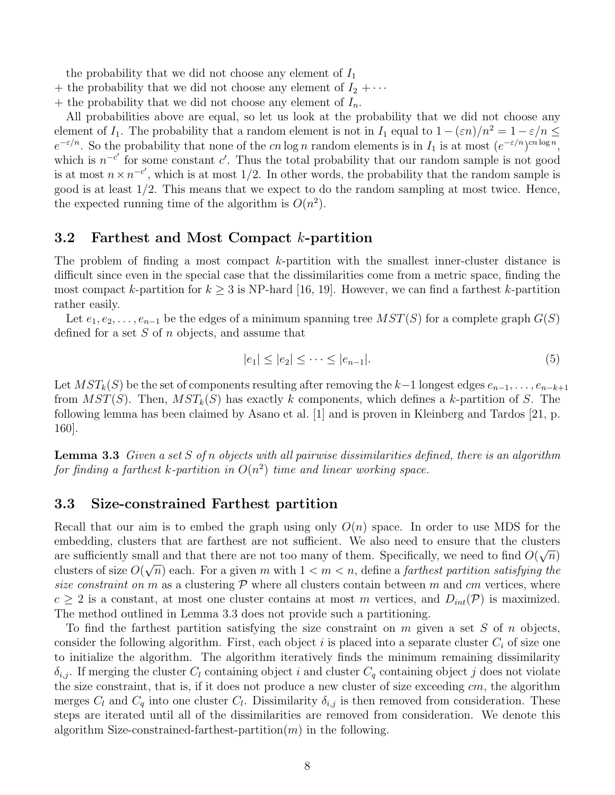the probability that we did not choose any element of  $I_1$ 

- + the probability that we did not choose any element of  $I_2 + \cdots$
- + the probability that we did not choose any element of  $I_n$ .

All probabilities above are equal, so let us look at the probability that we did not choose any element of  $I_1$ . The probability that a random element is not in  $I_1$  equal to  $1 - (\varepsilon n)/n^2 = 1 - \varepsilon/n \le$  $e^{-\varepsilon/n}$ . So the probability that none of the cn log n random elements is in  $I_1$  is at most  $(e^{-\varepsilon/n})^{cn \log n}$ , which is  $n^{-c'}$  for some constant c'. Thus the total probability that our random sample is not good is at most  $n \times n^{-c'}$ , which is at most 1/2. In other words, the probability that the random sample is good is at least 1/2. This means that we expect to do the random sampling at most twice. Hence, the expected running time of the algorithm is  $O(n^2)$ .

#### 3.2 Farthest and Most Compact k-partition

The problem of finding a most compact k-partition with the smallest inner-cluster distance is difficult since even in the special case that the dissimilarities come from a metric space, finding the most compact k-partition for  $k \geq 3$  is NP-hard [16, 19]. However, we can find a farthest k-partition rather easily.

Let  $e_1, e_2, \ldots, e_{n-1}$  be the edges of a minimum spanning tree  $MST(S)$  for a complete graph  $G(S)$ defined for a set  $S$  of  $n$  objects, and assume that

$$
|e_1| \le |e_2| \le \dots \le |e_{n-1}|. \tag{5}
$$

Let  $MST_k(S)$  be the set of components resulting after removing the k–1 longest edges  $e_{n-1}, \ldots, e_{n-k+1}$ from  $MST(S)$ . Then,  $MST_k(S)$  has exactly k components, which defines a k-partition of S. The following lemma has been claimed by Asano et al. [1] and is proven in Kleinberg and Tardos [21, p. 160].

Lemma 3.3 *Given a set* S *of* n *objects with all pairwise dissimilarities defined, there is an algorithm for finding a farthest* k*-partition in* O(n 2 ) *time and linear working space.*

### 3.3 Size-constrained Farthest partition

Recall that our aim is to embed the graph using only  $O(n)$  space. In order to use MDS for the embedding, clusters that are farthest are not sufficient. We also need to ensure that the clusters are sufficiently small and that there are not too many of them. Specifically, we need to find  $O(\sqrt{n})$ clusters of size  $O(\sqrt{n})$  each. For a given m with  $1 < m < n$ , define a *farthest partition satisfying the size constraint on* m as a clustering  $P$  where all clusters contain between m and cm vertices, where  $c \geq 2$  is a constant, at most one cluster contains at most m vertices, and  $D_{int}(\mathcal{P})$  is maximized. The method outlined in Lemma 3.3 does not provide such a partitioning.

To find the farthest partition satisfying the size constraint on  $m$  given a set  $S$  of  $n$  objects, consider the following algorithm. First, each object i is placed into a separate cluster  $C_i$  of size one to initialize the algorithm. The algorithm iteratively finds the minimum remaining dissimilarity  $\delta_{i,j}$ . If merging the cluster  $C_l$  containing object i and cluster  $C_q$  containing object j does not violate the size constraint, that is, if it does not produce a new cluster of size exceeding  $cm$ , the algorithm merges  $C_l$  and  $C_q$  into one cluster  $C_l$ . Dissimilarity  $\delta_{i,j}$  is then removed from consideration. These steps are iterated until all of the dissimilarities are removed from consideration. We denote this algorithm Size-constrained-farthest-partition $(m)$  in the following.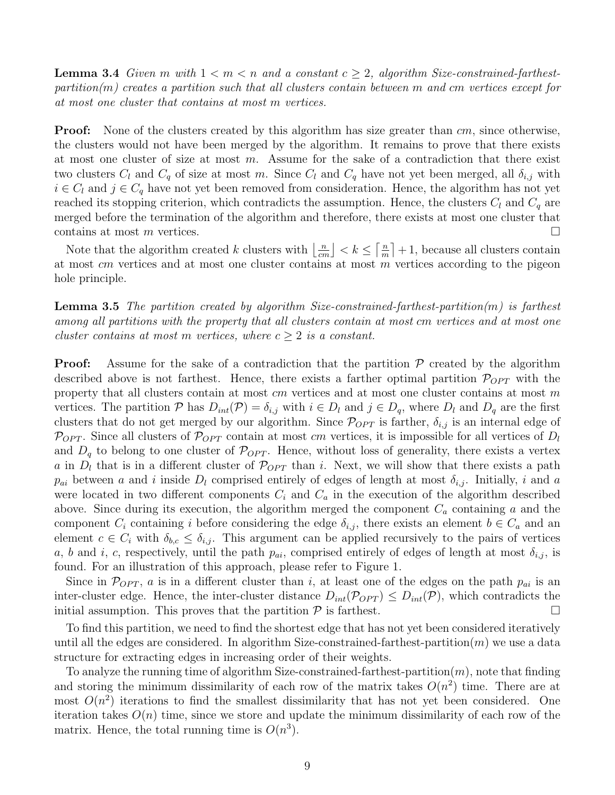**Lemma 3.4** Given m with  $1 \le m \le n$  and a constant  $c \ge 2$ , algorithm Size-constrained-farthest*partition(*m*) creates a partition such that all clusters contain between* m *and* cm *vertices except for at most one cluster that contains at most* m *vertices.*

**Proof:** None of the clusters created by this algorithm has size greater than  $cm$ , since otherwise, the clusters would not have been merged by the algorithm. It remains to prove that there exists at most one cluster of size at most  $m$ . Assume for the sake of a contradiction that there exist two clusters  $C_l$  and  $C_q$  of size at most m. Since  $C_l$  and  $C_q$  have not yet been merged, all  $\delta_{i,j}$  with  $i \in C_l$  and  $j \in C_q$  have not yet been removed from consideration. Hence, the algorithm has not yet reached its stopping criterion, which contradicts the assumption. Hence, the clusters  $C_l$  and  $C_q$  are merged before the termination of the algorithm and therefore, there exists at most one cluster that contains at most  $m$  vertices.

Note that the algorithm created  $k$  clusters with  $\left\lfloor \frac{n}{cm} \right\rfloor < k \leq \left\lceil \frac{n}{m} \right\rfloor$  $\left\lfloor \frac{n}{m} \right\rceil + 1$ , because all clusters contain at most cm vertices and at most one cluster contains at most m vertices according to the pigeon hole principle.

Lemma 3.5 *The partition created by algorithm Size-constrained-farthest-partition(*m*) is farthest among all partitions with the property that all clusters contain at most* cm *vertices and at most one cluster contains at most* m *vertices, where*  $c \geq 2$  *is a constant.* 

**Proof:** Assume for the sake of a contradiction that the partition  $P$  created by the algorithm described above is not farthest. Hence, there exists a farther optimal partition  $\mathcal{P}_{OPT}$  with the property that all clusters contain at most cm vertices and at most one cluster contains at most m vertices. The partition P has  $D_{int}(\mathcal{P}) = \delta_{i,j}$  with  $i \in D_l$  and  $j \in D_q$ , where  $D_l$  and  $D_q$  are the first clusters that do not get merged by our algorithm. Since  $\mathcal{P}_{OPT}$  is farther,  $\delta_{i,j}$  is an internal edge of  $\mathcal{P}_{OPT}$ . Since all clusters of  $\mathcal{P}_{OPT}$  contain at most cm vertices, it is impossible for all vertices of  $D_l$ and  $D_q$  to belong to one cluster of  $\mathcal{P}_{OPT}$ . Hence, without loss of generality, there exists a vertex a in  $D_l$  that is in a different cluster of  $\mathcal{P}_{OPT}$  than i. Next, we will show that there exists a path  $p_{ai}$  between a and i inside  $D_l$  comprised entirely of edges of length at most  $\delta_{i,j}$ . Initially, i and a were located in two different components  $C_i$  and  $C_a$  in the execution of the algorithm described above. Since during its execution, the algorithm merged the component  $C_a$  containing a and the component  $C_i$  containing i before considering the edge  $\delta_{i,j}$ , there exists an element  $b \in C_a$  and an element  $c \in C_i$  with  $\delta_{b,c} \leq \delta_{i,j}$ . This argument can be applied recursively to the pairs of vertices a, b and i, c, respectively, until the path  $p_{ai}$ , comprised entirely of edges of length at most  $\delta_{i,j}$ , is found. For an illustration of this approach, please refer to Figure 1.

Since in  $\mathcal{P}_{OPT}$ , a is in a different cluster than i, at least one of the edges on the path  $p_{ai}$  is an inter-cluster edge. Hence, the inter-cluster distance  $D_{int}(\mathcal{P}_{OPT}) \leq D_{int}(\mathcal{P})$ , which contradicts the initial assumption. This proves that the partition  $\mathcal P$  is farthest. initial assumption. This proves that the partition  $P$  is farthest.

To find this partition, we need to find the shortest edge that has not yet been considered iteratively until all the edges are considered. In algorithm Size-constrained-farthest-partition $(m)$  we use a data structure for extracting edges in increasing order of their weights.

To analyze the running time of algorithm Size-constrained-farthest-partition $(m)$ , note that finding and storing the minimum dissimilarity of each row of the matrix takes  $O(n^2)$  time. There are at most  $O(n^2)$  iterations to find the smallest dissimilarity that has not yet been considered. One iteration takes  $O(n)$  time, since we store and update the minimum dissimilarity of each row of the matrix. Hence, the total running time is  $O(n^3)$ .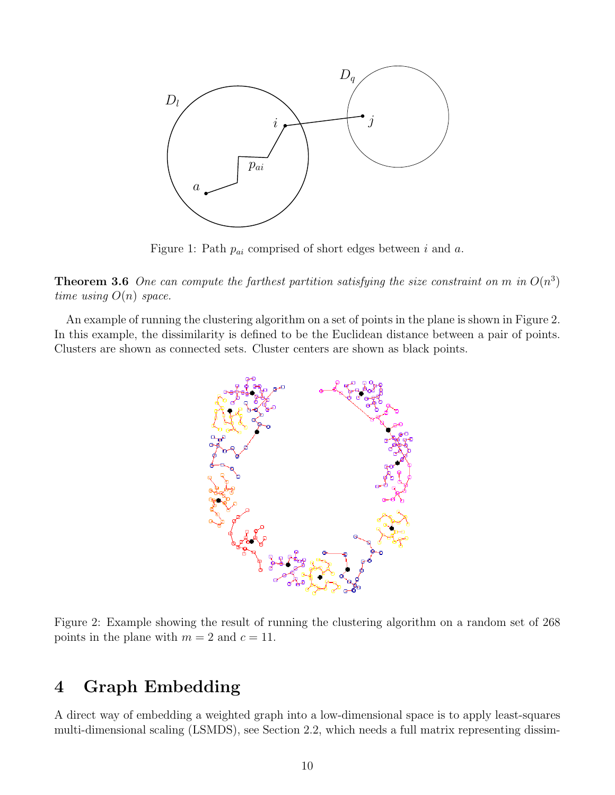

Figure 1: Path  $p_{ai}$  comprised of short edges between i and a.

**Theorem 3.6** One can compute the farthest partition satisfying the size constraint on m in  $O(n^3)$ *time using* O(n) *space.*

An example of running the clustering algorithm on a set of points in the plane is shown in Figure 2. In this example, the dissimilarity is defined to be the Euclidean distance between a pair of points. Clusters are shown as connected sets. Cluster centers are shown as black points.



Figure 2: Example showing the result of running the clustering algorithm on a random set of 268 points in the plane with  $m = 2$  and  $c = 11$ .

# 4 Graph Embedding

A direct way of embedding a weighted graph into a low-dimensional space is to apply least-squares multi-dimensional scaling (LSMDS), see Section 2.2, which needs a full matrix representing dissim-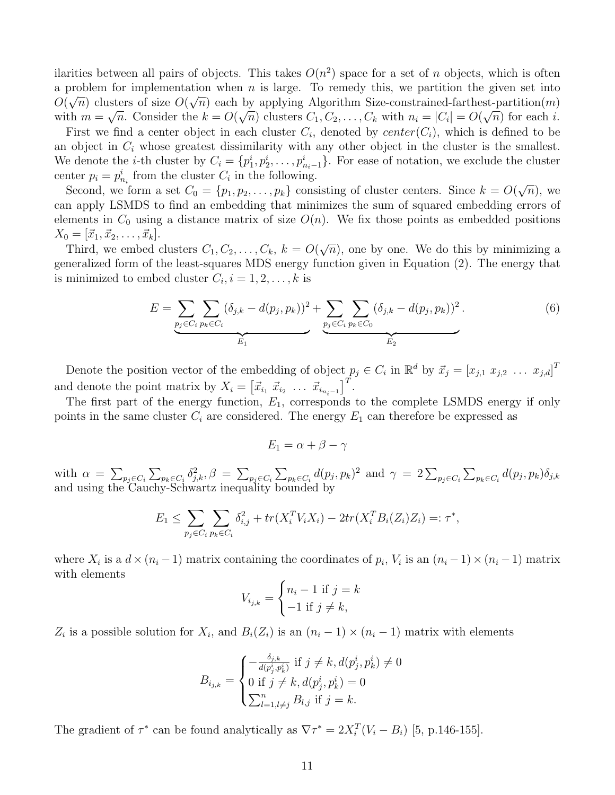ilarities between all pairs of objects. This takes  $O(n^2)$  space for a set of n objects, which is often a problem for implementation when  $n$  is large. To remedy this, we partition the given set into  $O(\sqrt{n})$  clusters of size  $O(\sqrt{n})$  each by applying Algorithm Size-constrained-farthest-partition(*m*) with  $m = \sqrt{n}$ . Consider the  $k = O(\sqrt{n})$  clusters  $C_1, C_2, \ldots, C_k$  with  $n_i = |C_i| = O(\sqrt{n})$  for each i.

First we find a center object in each cluster  $C_i$ , denoted by  $center(C_i)$ , which is defined to be an object in  $C_i$  whose greatest dissimilarity with any other object in the cluster is the smallest. We denote the *i*-th cluster by  $C_i = \{p_1^i, p_2^i, \ldots, p_{n_i-1}^i\}$ . For ease of notation, we exclude the cluster center  $p_i = p_{n_i}^i$  from the cluster  $C_i$  in the following.

Second, we form a set  $C_0 = \{p_1, p_2, \ldots, p_k\}$  consisting of cluster centers. Since  $k = O(\sqrt{n})$ , we can apply LSMDS to find an embedding that minimizes the sum of squared embedding errors of elements in  $C_0$  using a distance matrix of size  $O(n)$ . We fix those points as embedded positions  $X_0 = [\vec{x}_1, \vec{x}_2, \dots, \vec{x}_k].$ 

Third, we embed clusters  $C_1, C_2, \ldots, C_k$ ,  $k = O(\sqrt{n})$ , one by one. We do this by minimizing a generalized form of the least-squares MDS energy function given in Equation (2). The energy that is minimized to embed cluster  $C_i$ ,  $i = 1, 2, ..., k$  is

$$
E = \underbrace{\sum_{p_j \in C_i} \sum_{p_k \in C_i} (\delta_{j,k} - d(p_j, p_k))^2}_{E_1} + \underbrace{\sum_{p_j \in C_i} \sum_{p_k \in C_0} (\delta_{j,k} - d(p_j, p_k))^2}_{E_2}.
$$
 (6)

Denote the position vector of the embedding of object  $p_j \in C_i$  in  $\mathbb{R}^d$  by  $\vec{x}_j = [x_{j,1} \ x_{j,2} \ \dots \ x_{j,d}]^T$ and denote the point matrix by  $X_i = \begin{bmatrix} \vec{x}_{i_1} & \vec{x}_{i_2} & \dots & \vec{x}_{i_{n_i-1}} \end{bmatrix}^T$ .

The first part of the energy function,  $E_1$ , corresponds to the complete LSMDS energy if only points in the same cluster  $C_i$  are considered. The energy  $E_1$  can therefore be expressed as

$$
E_1 = \alpha + \beta - \gamma
$$

with  $\alpha = \sum_{p_j \in C_i} \sum_{p_k \in C_i} \delta_{j,k}^2$ ,  $\beta = \sum_{p_j \in C_i} \sum_{p_k \in C_i} d(p_j, p_k)^2$  and  $\gamma = 2 \sum_{p_j \in C_i} \sum_{p_k \in C_i} d(p_j, p_k) \delta_{j,k}$ and using the Cauchy-Schwartz inequality bounded by

$$
E_1 \leq \sum_{p_j \in C_i} \sum_{p_k \in C_i} \delta_{i,j}^2 + tr(X_i^T V_i X_i) - 2tr(X_i^T B_i(Z_i) Z_i) =: \tau^*,
$$

where  $X_i$  is a  $d \times (n_i - 1)$  matrix containing the coordinates of  $p_i$ ,  $V_i$  is an  $(n_i - 1) \times (n_i - 1)$  matrix with elements

$$
V_{i_{j,k}} = \begin{cases} n_i - 1 & \text{if } j = k \\ -1 & \text{if } j \neq k, \end{cases}
$$

 $Z_i$  is a possible solution for  $X_i$ , and  $B_i(Z_i)$  is an  $(n_i - 1) \times (n_i - 1)$  matrix with elements

$$
B_{i_{j,k}} = \begin{cases} -\frac{\delta_{j,k}}{d(p_j^i, p_k^i)} & \text{if } j \neq k, d(p_j^i, p_k^i) \neq 0\\ 0 & \text{if } j \neq k, d(p_j^i, p_k^i) = 0\\ \sum_{l=1, l \neq j}^n B_{l,j} & \text{if } j = k. \end{cases}
$$

The gradient of  $\tau^*$  can be found analytically as  $\nabla \tau^* = 2X_i^T(V_i - B_i)$  [5, p.146-155].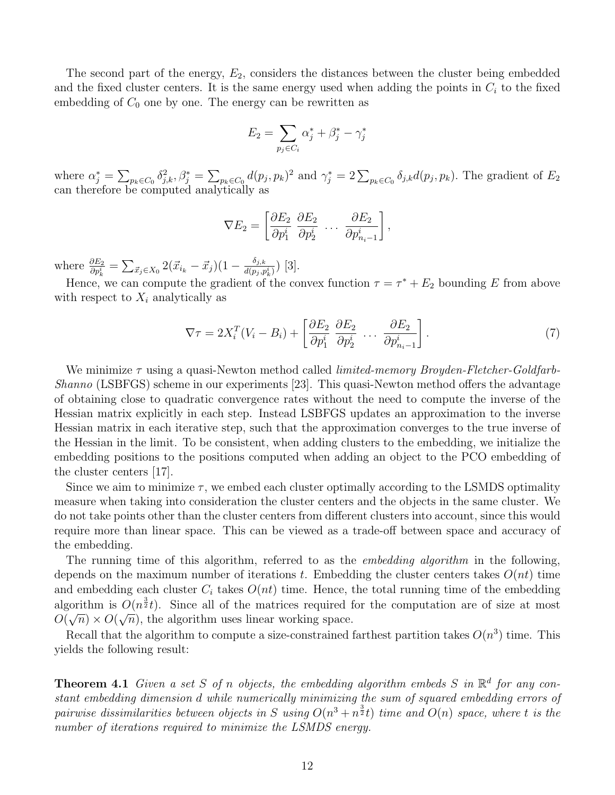The second part of the energy,  $E_2$ , considers the distances between the cluster being embedded and the fixed cluster centers. It is the same energy used when adding the points in  $C_i$  to the fixed embedding of  $C_0$  one by one. The energy can be rewritten as

$$
E_2 = \sum_{p_j \in C_i} \alpha_j^* + \beta_j^* - \gamma_j^*
$$

where  $\alpha_j^* = \sum_{p_k \in C_0} \delta_{j,k}^2$ ,  $\beta_j^* = \sum_{p_k \in C_0} d(p_j, p_k)^2$  and  $\gamma_j^* = 2 \sum_{p_k \in C_0} \delta_{j,k} d(p_j, p_k)$ . The gradient of  $E_2$ can therefore be computed analytically as

$$
\nabla E_2 = \left[ \frac{\partial E_2}{\partial p_1^i} \frac{\partial E_2}{\partial p_2^i} \dots \frac{\partial E_2}{\partial p_{n_i-1}^i} \right],
$$

where  $\frac{\partial E_2}{\partial p_k^i} = \sum_{\vec{x}_j \in X_0} 2(\vec{x}_{i_k} - \vec{x}_j)(1 - \frac{\delta_{j,k}}{d(p_j, p_j)})$  $\frac{o_{j,k}}{d(p_j,p_k^i)}$  [3].

Hence, we can compute the gradient of the convex function  $\tau = \tau^* + E_2$  bounding E from above with respect to  $X_i$  analytically as

$$
\nabla \tau = 2X_i^T (V_i - B_i) + \left[ \frac{\partial E_2}{\partial p_1^i} \frac{\partial E_2}{\partial p_2^i} \cdots \frac{\partial E_2}{\partial p_{n_i-1}^i} \right]. \tag{7}
$$

We minimize *τ* using a quasi-Newton method called *limited-memory Broyden-Fletcher-Goldfarb-Shanno* (LSBFGS) scheme in our experiments [23]. This quasi-Newton method offers the advantage of obtaining close to quadratic convergence rates without the need to compute the inverse of the Hessian matrix explicitly in each step. Instead LSBFGS updates an approximation to the inverse Hessian matrix in each iterative step, such that the approximation converges to the true inverse of the Hessian in the limit. To be consistent, when adding clusters to the embedding, we initialize the embedding positions to the positions computed when adding an object to the PCO embedding of the cluster centers [17].

Since we aim to minimize  $\tau$ , we embed each cluster optimally according to the LSMDS optimality measure when taking into consideration the cluster centers and the objects in the same cluster. We do not take points other than the cluster centers from different clusters into account, since this would require more than linear space. This can be viewed as a trade-off between space and accuracy of the embedding.

The running time of this algorithm, referred to as the *embedding algorithm* in the following, depends on the maximum number of iterations t. Embedding the cluster centers takes  $O(nt)$  time and embedding each cluster  $C_i$  takes  $O(nt)$  time. Hence, the total running time of the embedding algorithm is  $O(n^{\frac{3}{2}}t)$ . Since all of the matrices required for the computation are of size at most  $O(\sqrt{n}) \times O(\sqrt{n})$ , the algorithm uses linear working space.

Recall that the algorithm to compute a size-constrained farthest partition takes  $O(n^3)$  time. This yields the following result:

**Theorem 4.1** Given a set S of n objects, the embedding algorithm embeds S in  $\mathbb{R}^d$  for any con*stant embedding dimension* d *while numerically minimizing the sum of squared embedding errors of*  $pairwise$  dissimilarities between objects in S  $using\ O(n^3 + n^{\frac{3}{2}}t)$  time and  $O(n)$  space, where t is the *number of iterations required to minimize the LSMDS energy.*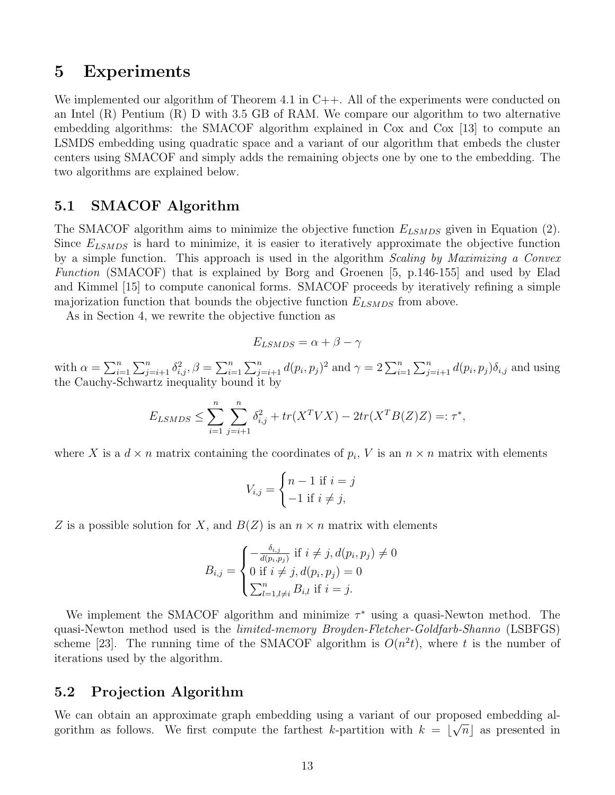### 5 Experiments

We implemented our algorithm of Theorem 4.1 in  $C_{++}$ . All of the experiments were conducted on an Intel (R) Pentium (R) D with 3.5 GB of RAM. We compare our algorithm to two alternative embedding algorithms: the SMACOF algorithm explained in Cox and Cox [13] to compute an LSMDS embedding using quadratic space and a variant of our algorithm that embeds the cluster centers using SMACOF and simply adds the remaining objects one by one to the embedding. The two algorithms are explained below.

### 5.1 SMACOF Algorithm

The SMACOF algorithm aims to minimize the objective function  $E_{LSMDS}$  given in Equation (2). Since  $E_{LSMDS}$  is hard to minimize, it is easier to iteratively approximate the objective function by a simple function. This approach is used in the algorithm *Scaling by Maximizing a Convex Function* (SMACOF) that is explained by Borg and Groenen [5, p.146-155] and used by Elad and Kimmel [15] to compute canonical forms. SMACOF proceeds by iteratively refining a simple majorization function that bounds the objective function  $E_{LSMDS}$  from above.

As in Section 4, we rewrite the objective function as

$$
E_{LSMDS} = \alpha + \beta - \gamma
$$

with  $\alpha = \sum_{i=1}^n \sum_{j=i+1}^n \delta_{i,j}^2$ ,  $\beta = \sum_{i=1}^n \sum_{j=i+1}^n d(p_i, p_j)^2$  and  $\gamma = 2 \sum_{i=1}^n \sum_{j=i+1}^n d(p_i, p_j) \delta_{i,j}$  and using the Cauchy-Schwartz inequality bound it by

$$
E_{LSMDS} \le \sum_{i=1}^{n} \sum_{j=i+1}^{n} \delta_{i,j}^{2} + tr(X^{T}VX) - 2tr(X^{T}B(Z)Z) =: \tau^{*},
$$

where X is a  $d \times n$  matrix containing the coordinates of  $p_i$ , V is an  $n \times n$  matrix with elements

$$
V_{i,j} = \begin{cases} n-1 \text{ if } i=j\\ -1 \text{ if } i \neq j, \end{cases}
$$

Z is a possible solution for X, and  $B(Z)$  is an  $n \times n$  matrix with elements

$$
B_{i,j} = \begin{cases} -\frac{\delta_{i,j}}{d(p_i, p_j)} & \text{if } i \neq j, d(p_i, p_j) \neq 0\\ 0 & \text{if } i \neq j, d(p_i, p_j) = 0\\ \sum_{l=1, l \neq i}^{n} B_{i,l} & \text{if } i = j. \end{cases}
$$

We implement the SMACOF algorithm and minimize  $\tau^*$  using a quasi-Newton method. The quasi-Newton method used is the *limited-memory Broyden-Fletcher-Goldfarb-Shanno* (LSBFGS) scheme [23]. The running time of the SMACOF algorithm is  $O(n^2t)$ , where t is the number of iterations used by the algorithm.

#### 5.2 Projection Algorithm

We can obtain an approximate graph embedding using a variant of our proposed embedding algorithm as follows. We first compute the farthest k-partition with  $k = \lfloor \sqrt{n} \rfloor$  as presented in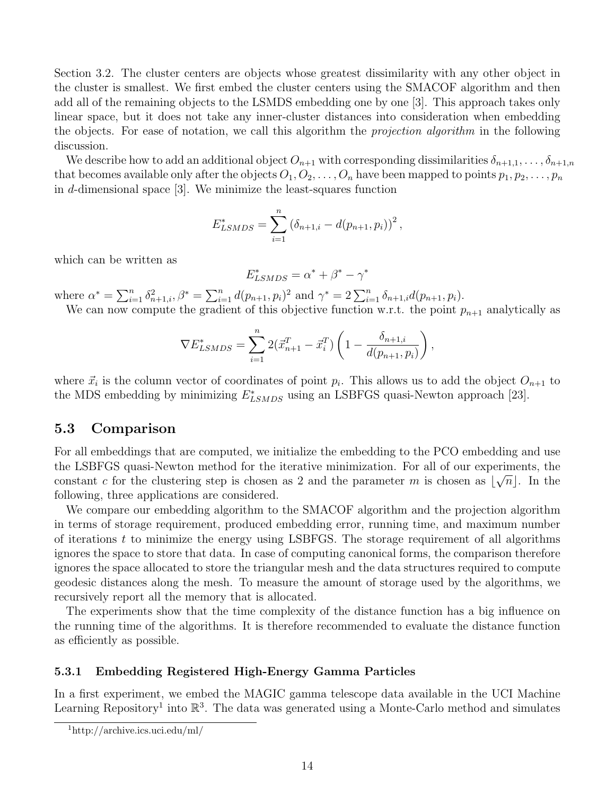Section 3.2. The cluster centers are objects whose greatest dissimilarity with any other object in the cluster is smallest. We first embed the cluster centers using the SMACOF algorithm and then add all of the remaining objects to the LSMDS embedding one by one [3]. This approach takes only linear space, but it does not take any inner-cluster distances into consideration when embedding the objects. For ease of notation, we call this algorithm the *projection algorithm* in the following discussion.

We describe how to add an additional object  $O_{n+1}$  with corresponding dissimilarities  $\delta_{n+1,1},\ldots,\delta_{n+1,n}$ that becomes available only after the objects  $O_1, O_2, \ldots, O_n$  have been mapped to points  $p_1, p_2, \ldots, p_n$ in d-dimensional space [3]. We minimize the least-squares function

$$
E_{LSMDS}^{*} = \sum_{i=1}^{n} (\delta_{n+1,i} - d(p_{n+1}, p_i))^{2},
$$

which can be written as

$$
E_{LSMDS}^* = \alpha^* + \beta^* - \gamma^*
$$

where  $\alpha^* = \sum_{i=1}^n \delta_{n+1,i}^2$ ,  $\beta^* = \sum_{i=1}^n d(p_{n+1}, p_i)^2$  and  $\gamma^* = 2 \sum_{i=1}^n \delta_{n+1,i} d(p_{n+1}, p_i)$ .

We can now compute the gradient of this objective function w.r.t. the point  $p_{n+1}$  analytically as

$$
\nabla E_{LSMDS}^* = \sum_{i=1}^n 2(\vec{x}_{n+1}^T - \vec{x}_i^T) \left( 1 - \frac{\delta_{n+1,i}}{d(p_{n+1}, p_i)} \right),
$$

where  $\vec{x}_i$  is the column vector of coordinates of point  $p_i$ . This allows us to add the object  $O_{n+1}$  to the MDS embedding by minimizing  $E^*_{LSMDS}$  using an LSBFGS quasi-Newton approach [23].

#### 5.3 Comparison

For all embeddings that are computed, we initialize the embedding to the PCO embedding and use the LSBFGS quasi-Newton method for the iterative minimization. For all of our experiments, the constant c for the clustering step is chosen as 2 and the parameter m is chosen as  $\lfloor \sqrt{n} \rfloor$ . In the following, three applications are considered.

We compare our embedding algorithm to the SMACOF algorithm and the projection algorithm in terms of storage requirement, produced embedding error, running time, and maximum number of iterations  $t$  to minimize the energy using LSBFGS. The storage requirement of all algorithms ignores the space to store that data. In case of computing canonical forms, the comparison therefore ignores the space allocated to store the triangular mesh and the data structures required to compute geodesic distances along the mesh. To measure the amount of storage used by the algorithms, we recursively report all the memory that is allocated.

The experiments show that the time complexity of the distance function has a big influence on the running time of the algorithms. It is therefore recommended to evaluate the distance function as efficiently as possible.

#### 5.3.1 Embedding Registered High-Energy Gamma Particles

In a first experiment, we embed the MAGIC gamma telescope data available in the UCI Machine Learning Repository<sup>1</sup> into  $\mathbb{R}^3$ . The data was generated using a Monte-Carlo method and simulates

<sup>1</sup>http://archive.ics.uci.edu/ml/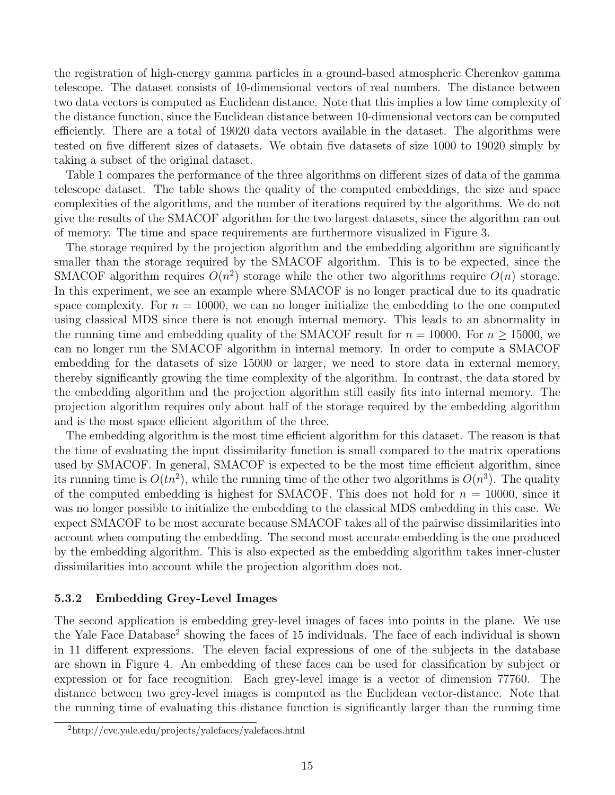the registration of high-energy gamma particles in a ground-based atmospheric Cherenkov gamma telescope. The dataset consists of 10-dimensional vectors of real numbers. The distance between two data vectors is computed as Euclidean distance. Note that this implies a low time complexity of the distance function, since the Euclidean distance between 10-dimensional vectors can be computed efficiently. There are a total of 19020 data vectors available in the dataset. The algorithms were tested on five different sizes of datasets. We obtain five datasets of size 1000 to 19020 simply by taking a subset of the original dataset.

Table 1 compares the performance of the three algorithms on different sizes of data of the gamma telescope dataset. The table shows the quality of the computed embeddings, the size and space complexities of the algorithms, and the number of iterations required by the algorithms. We do not give the results of the SMACOF algorithm for the two largest datasets, since the algorithm ran out of memory. The time and space requirements are furthermore visualized in Figure 3.

The storage required by the projection algorithm and the embedding algorithm are significantly smaller than the storage required by the SMACOF algorithm. This is to be expected, since the SMACOF algorithm requires  $O(n^2)$  storage while the other two algorithms require  $O(n)$  storage. In this experiment, we see an example where SMACOF is no longer practical due to its quadratic space complexity. For  $n = 10000$ , we can no longer initialize the embedding to the one computed using classical MDS since there is not enough internal memory. This leads to an abnormality in the running time and embedding quality of the SMACOF result for  $n = 10000$ . For  $n \ge 15000$ , we can no longer run the SMACOF algorithm in internal memory. In order to compute a SMACOF embedding for the datasets of size 15000 or larger, we need to store data in external memory, thereby significantly growing the time complexity of the algorithm. In contrast, the data stored by the embedding algorithm and the projection algorithm still easily fits into internal memory. The projection algorithm requires only about half of the storage required by the embedding algorithm and is the most space efficient algorithm of the three.

The embedding algorithm is the most time efficient algorithm for this dataset. The reason is that the time of evaluating the input dissimilarity function is small compared to the matrix operations used by SMACOF. In general, SMACOF is expected to be the most time efficient algorithm, since its running time is  $O(tn^2)$ , while the running time of the other two algorithms is  $O(n^3)$ . The quality of the computed embedding is highest for SMACOF. This does not hold for  $n = 10000$ , since it was no longer possible to initialize the embedding to the classical MDS embedding in this case. We expect SMACOF to be most accurate because SMACOF takes all of the pairwise dissimilarities into account when computing the embedding. The second most accurate embedding is the one produced by the embedding algorithm. This is also expected as the embedding algorithm takes inner-cluster dissimilarities into account while the projection algorithm does not.

#### 5.3.2 Embedding Grey-Level Images

The second application is embedding grey-level images of faces into points in the plane. We use the Yale Face Database<sup>2</sup> showing the faces of 15 individuals. The face of each individual is shown in 11 different expressions. The eleven facial expressions of one of the subjects in the database are shown in Figure 4. An embedding of these faces can be used for classification by subject or expression or for face recognition. Each grey-level image is a vector of dimension 77760. The distance between two grey-level images is computed as the Euclidean vector-distance. Note that the running time of evaluating this distance function is significantly larger than the running time

<sup>2</sup>http://cvc.yale.edu/projects/yalefaces/yalefaces.html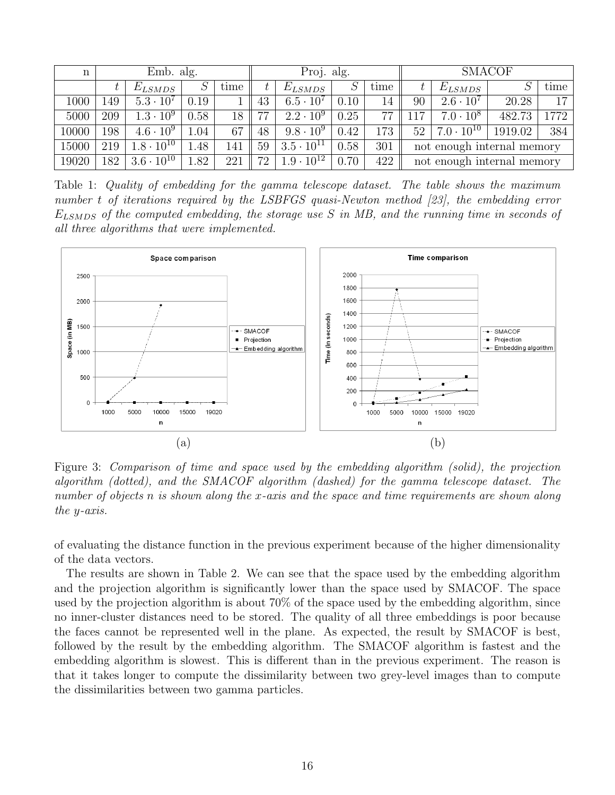| $\mathbf n$ | Emb. alg. |                     |      |      | Proj. alg. |                                |      |      | <b>SMACOF</b>              |                     |         |      |  |  |
|-------------|-----------|---------------------|------|------|------------|--------------------------------|------|------|----------------------------|---------------------|---------|------|--|--|
|             |           | $E_{LSMDS}$         |      | time |            | $E_{LSMDS}$                    |      | time |                            | $E_{LSMDS}$         |         | time |  |  |
| 1000        | 149       | $5.3 \cdot 10^7$    | 0.19 |      | 43         | $6.5 \cdot 10^{7}$             | 0.10 | 14   | 90                         | $2.6 \cdot 10^7$    | 20.28   | 17   |  |  |
| 5000        | 209       | $1.3 \cdot 10^{9}$  | 0.58 | 18   | 77         | $2.2 \cdot 10^9$               | 0.25 | 77   | .17                        | $7.0 \cdot 10^8$    | 482.73  | 1772 |  |  |
| 10000       | 198       | $4.6 \cdot 10^{9}$  | 1.04 | 67   | 48         | $9.8 \cdot 10^9$               | 0.42 | 173  | 52                         | $7.0 \cdot 10^{10}$ | 1919.02 | 384  |  |  |
| 15000       | 219       | $1.8\cdot10^{10}$   | .48  | 141  | 59         | $3.5 \cdot 10^{11}$            | 0.58 | 301  | not enough internal memory |                     |         |      |  |  |
| 19020       | 182       | $3.6 \cdot 10^{10}$ | 1.82 | 221  | 72         | $1.9 \cdot \overline{10^{12}}$ | 0.70 | 422  | not enough internal memory |                     |         |      |  |  |

Table 1: *Quality of embedding for the gamma telescope dataset. The table shows the maximum number* t *of iterations required by the LSBFGS quasi-Newton method [23], the embedding error* ELSMDS *of the computed embedding, the storage use* S *in MB, and the running time in seconds of all three algorithms that were implemented.*



Figure 3: *Comparison of time and space used by the embedding algorithm (solid), the projection algorithm (dotted), and the SMACOF algorithm (dashed) for the gamma telescope dataset. The number of objects* n *is shown along the* x*-axis and the space and time requirements are shown along the* y*-axis.*

of evaluating the distance function in the previous experiment because of the higher dimensionality of the data vectors.

The results are shown in Table 2. We can see that the space used by the embedding algorithm and the projection algorithm is significantly lower than the space used by SMACOF. The space used by the projection algorithm is about 70% of the space used by the embedding algorithm, since no inner-cluster distances need to be stored. The quality of all three embeddings is poor because the faces cannot be represented well in the plane. As expected, the result by SMACOF is best, followed by the result by the embedding algorithm. The SMACOF algorithm is fastest and the embedding algorithm is slowest. This is different than in the previous experiment. The reason is that it takes longer to compute the dissimilarity between two grey-level images than to compute the dissimilarities between two gamma particles.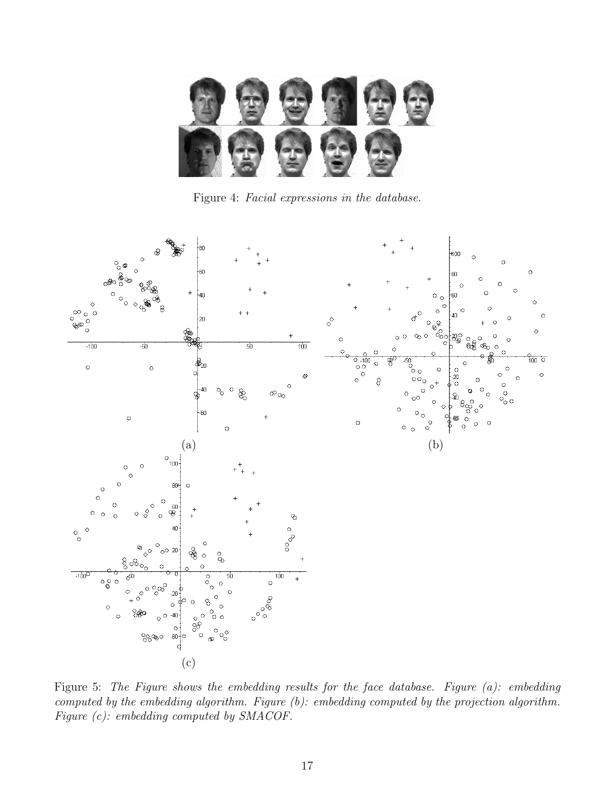

Figure 4: *Facial expressions in the database.*



Figure 5: *The Figure shows the embedding results for the face database. Figure (a): embedding computed by the embedding algorithm. Figure (b): embedding computed by the projection algorithm. Figure (c): embedding computed by SMACOF.*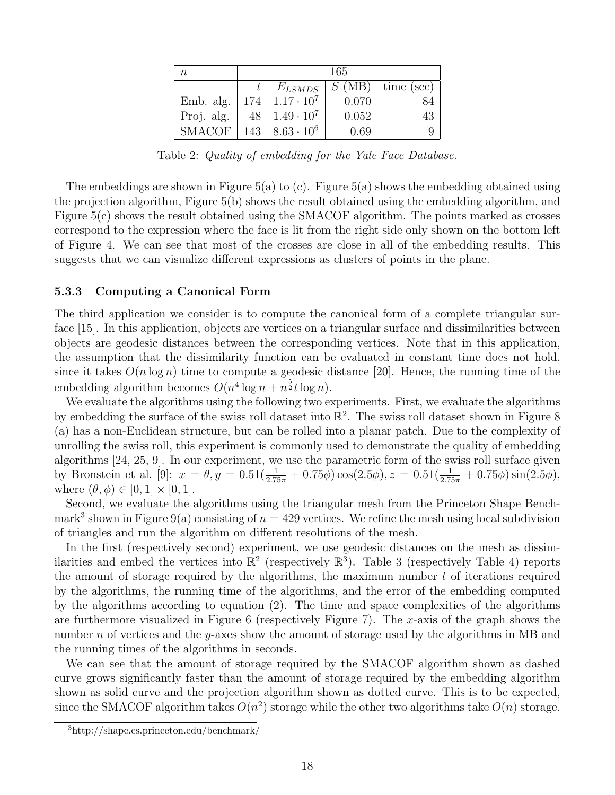| $\it{n}$      | 165 |                     |       |            |  |  |  |  |
|---------------|-----|---------------------|-------|------------|--|--|--|--|
|               |     | $E_{LSMDS}$         | S(MB) | time (sec) |  |  |  |  |
| Emb. alg.     | 174 | $1.17 \cdot 10^7$   | 0.070 |            |  |  |  |  |
| Proj. alg.    |     | $1.49 \cdot 10^{7}$ | 0.052 |            |  |  |  |  |
| <b>SMACOF</b> | 143 | $8.63 \cdot 10^{6}$ | 0.69  |            |  |  |  |  |

Table 2: *Quality of embedding for the Yale Face Database.*

The embeddings are shown in Figure 5(a) to (c). Figure 5(a) shows the embedding obtained using the projection algorithm, Figure 5(b) shows the result obtained using the embedding algorithm, and Figure 5(c) shows the result obtained using the SMACOF algorithm. The points marked as crosses correspond to the expression where the face is lit from the right side only shown on the bottom left of Figure 4. We can see that most of the crosses are close in all of the embedding results. This suggests that we can visualize different expressions as clusters of points in the plane.

#### 5.3.3 Computing a Canonical Form

The third application we consider is to compute the canonical form of a complete triangular surface [15]. In this application, objects are vertices on a triangular surface and dissimilarities between objects are geodesic distances between the corresponding vertices. Note that in this application, the assumption that the dissimilarity function can be evaluated in constant time does not hold, since it takes  $O(n \log n)$  time to compute a geodesic distance [20]. Hence, the running time of the embedding algorithm becomes  $O(n^4 \log n + n^{\frac{5}{2}} t \log n)$ .

We evaluate the algorithms using the following two experiments. First, we evaluate the algorithms by embedding the surface of the swiss roll dataset into  $\mathbb{R}^2$ . The swiss roll dataset shown in Figure 8 (a) has a non-Euclidean structure, but can be rolled into a planar patch. Due to the complexity of unrolling the swiss roll, this experiment is commonly used to demonstrate the quality of embedding algorithms [24, 25, 9]. In our experiment, we use the parametric form of the swiss roll surface given by Bronstein et al. [9]:  $x = \theta, y = 0.51(\frac{1}{2.75\pi} + 0.75\phi)\cos(2.5\phi), z = 0.51(\frac{1}{2.75\pi} + 0.75\phi)\sin(2.5\phi),$ where  $(\theta, \phi) \in [0, 1] \times [0, 1]$ .

Second, we evaluate the algorithms using the triangular mesh from the Princeton Shape Benchmark<sup>3</sup> shown in Figure 9(a) consisting of  $n = 429$  vertices. We refine the mesh using local subdivision of triangles and run the algorithm on different resolutions of the mesh.

In the first (respectively second) experiment, we use geodesic distances on the mesh as dissimilarities and embed the vertices into  $\mathbb{R}^2$  (respectively  $\mathbb{R}^3$ ). Table 3 (respectively Table 4) reports the amount of storage required by the algorithms, the maximum number  $t$  of iterations required by the algorithms, the running time of the algorithms, and the error of the embedding computed by the algorithms according to equation (2). The time and space complexities of the algorithms are furthermore visualized in Figure 6 (respectively Figure 7). The x-axis of the graph shows the number n of vertices and the y-axes show the amount of storage used by the algorithms in MB and the running times of the algorithms in seconds.

We can see that the amount of storage required by the SMACOF algorithm shown as dashed curve grows significantly faster than the amount of storage required by the embedding algorithm shown as solid curve and the projection algorithm shown as dotted curve. This is to be expected, since the SMACOF algorithm takes  $O(n^2)$  storage while the other two algorithms take  $O(n)$  storage.

<sup>3</sup>http://shape.cs.princeton.edu/benchmark/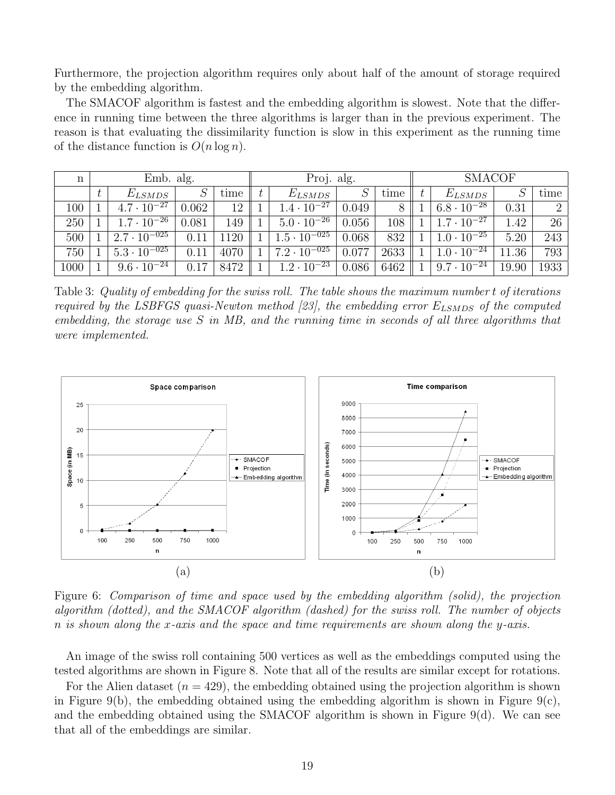Furthermore, the projection algorithm requires only about half of the amount of storage required by the embedding algorithm.

The SMACOF algorithm is fastest and the embedding algorithm is slowest. Note that the difference in running time between the three algorithms is larger than in the previous experiment. The reason is that evaluating the dissimilarity function is slow in this experiment as the running time of the distance function is  $O(n \log n)$ .

| n    | Emb. alg. |                                  |       |      |  | Proj. alg.                       |       |      | <b>SMACOF</b> |                                  |       |                |
|------|-----------|----------------------------------|-------|------|--|----------------------------------|-------|------|---------------|----------------------------------|-------|----------------|
|      |           | $E_{LSMDS}$                      |       | time |  | $E_{LSMDS}$                      |       | time |               | $E_{LSMDS}$                      |       | time           |
| 100  |           | $4.7 \cdot 10^{-27}$             | 0.062 | 12   |  | $1.4 \cdot 10^{-27}$             | 0.049 |      |               | $6.8 \cdot 10^{-28}$             | 0.31  | $\overline{2}$ |
| 250  |           | $1.7 \cdot 10^{-26}$             | 0.081 | 149  |  | $5.0 \cdot 10^{-26}$             | 0.056 | 108  |               | $1.7 \cdot 10^{-27}$             | 1.42  | 26             |
| 500  |           | $2.7 \cdot \overline{10^{-025}}$ | 0.11  | 1120 |  | $1.5 \cdot 10^{-025}$            | 0.068 | 832  |               | $1.0 \cdot 10^{-25}$             | 5.20  | 243            |
| 750  |           | $5.3 \cdot \overline{10^{-025}}$ | 0.11  | 4070 |  | $7.2 \cdot \overline{10^{-025}}$ | 0.077 | 2633 |               | $\vert 1.0 \cdot 10^{-24} \vert$ | 11.36 | 793            |
| 1000 |           | $9.6 \cdot \overline{10^{-24}}$  | 0.17  | 8472 |  | $1.2 \cdot 10^{-23}$             | 0.086 | 6462 |               | $9.7 \cdot \overline{10^{-24}}$  | 19.90 | 1933           |

Table 3: *Quality of embedding for the swiss roll. The table shows the maximum number* t *of iterations required by the LSBFGS quasi-Newton method [23], the embedding error*  $E_{LSMDS}$  *of the computed embedding, the storage use* S *in MB, and the running time in seconds of all three algorithms that were implemented.*



Figure 6: *Comparison of time and space used by the embedding algorithm (solid), the projection algorithm (dotted), and the SMACOF algorithm (dashed) for the swiss roll. The number of objects* n *is shown along the* x*-axis and the space and time requirements are shown along the* y*-axis.*

An image of the swiss roll containing 500 vertices as well as the embeddings computed using the tested algorithms are shown in Figure 8. Note that all of the results are similar except for rotations.

For the Alien dataset  $(n = 429)$ , the embedding obtained using the projection algorithm is shown in Figure 9(b), the embedding obtained using the embedding algorithm is shown in Figure 9(c), and the embedding obtained using the SMACOF algorithm is shown in Figure 9(d). We can see that all of the embeddings are similar.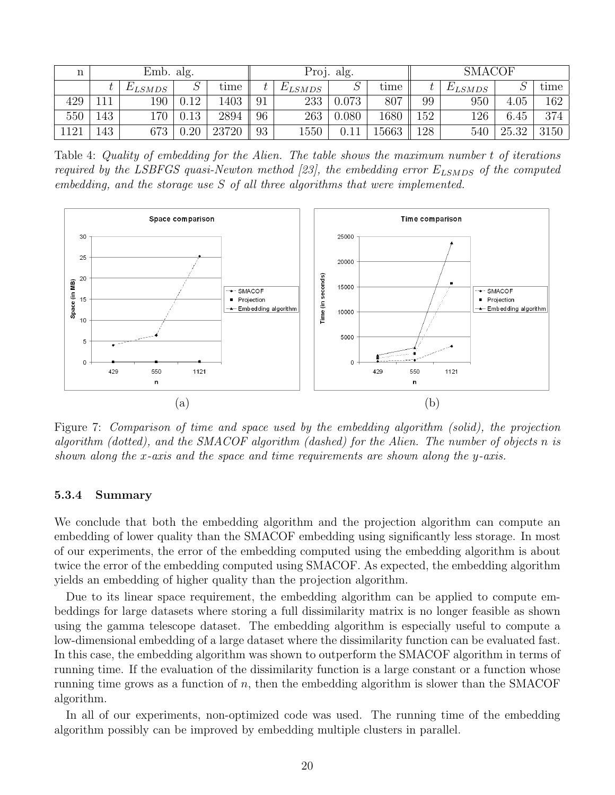| n   | Emb. alg. |             |      |       |    |             | Proj. alg. |                | <b>SMACOF</b> |             |       |      |  |
|-----|-----------|-------------|------|-------|----|-------------|------------|----------------|---------------|-------------|-------|------|--|
|     |           | $E_{LSMDS}$ |      | time  |    | $E_{LSMDS}$ |            | $_{\rm{time}}$ |               | $E_{LSMDS}$ |       | time |  |
| 429 |           | 190         | 0.12 | 1403  | 91 | 233         | 0.073      | 807            | 99            | 950         | 4.05  | 162  |  |
| 550 | 43        | L70         | 0.13 | 2894  | 96 | 263         | 0.080      | 1680           | 152           | 126         | 6.45  | 374  |  |
| 121 | 43        | 673         | 0.20 | 23720 | 93 | $1550\,$    | 0.11       | 15663          | 128           | 540         | 25.32 | 3150 |  |

Table 4: *Quality of embedding for the Alien. The table shows the maximum number* t *of iterations required by the LSBFGS quasi-Newton method [23], the embedding error*  $E_{LSMDS}$  *of the computed embedding, and the storage use* S *of all three algorithms that were implemented.*



Figure 7: *Comparison of time and space used by the embedding algorithm (solid), the projection algorithm (dotted), and the SMACOF algorithm (dashed) for the Alien. The number of objects* n *is shown along the* x*-axis and the space and time requirements are shown along the* y*-axis.*

#### 5.3.4 Summary

We conclude that both the embedding algorithm and the projection algorithm can compute an embedding of lower quality than the SMACOF embedding using significantly less storage. In most of our experiments, the error of the embedding computed using the embedding algorithm is about twice the error of the embedding computed using SMACOF. As expected, the embedding algorithm yields an embedding of higher quality than the projection algorithm.

Due to its linear space requirement, the embedding algorithm can be applied to compute embeddings for large datasets where storing a full dissimilarity matrix is no longer feasible as shown using the gamma telescope dataset. The embedding algorithm is especially useful to compute a low-dimensional embedding of a large dataset where the dissimilarity function can be evaluated fast. In this case, the embedding algorithm was shown to outperform the SMACOF algorithm in terms of running time. If the evaluation of the dissimilarity function is a large constant or a function whose running time grows as a function of  $n$ , then the embedding algorithm is slower than the SMACOF algorithm.

In all of our experiments, non-optimized code was used. The running time of the embedding algorithm possibly can be improved by embedding multiple clusters in parallel.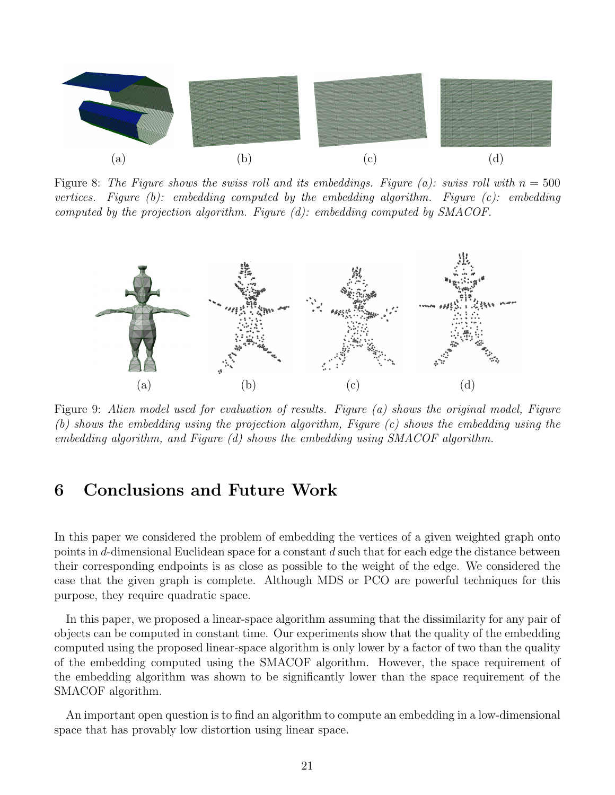

Figure 8: The Figure shows the swiss roll and its embeddings. Figure (a): swiss roll with  $n = 500$ *vertices. Figure (b): embedding computed by the embedding algorithm. Figure (c): embedding computed by the projection algorithm. Figure (d): embedding computed by SMACOF.*



Figure 9: *Alien model used for evaluation of results. Figure (a) shows the original model, Figure (b) shows the embedding using the projection algorithm, Figure (c) shows the embedding using the embedding algorithm, and Figure (d) shows the embedding using SMACOF algorithm.*

## 6 Conclusions and Future Work

In this paper we considered the problem of embedding the vertices of a given weighted graph onto points in d-dimensional Euclidean space for a constant d such that for each edge the distance between their corresponding endpoints is as close as possible to the weight of the edge. We considered the case that the given graph is complete. Although MDS or PCO are powerful techniques for this purpose, they require quadratic space.

In this paper, we proposed a linear-space algorithm assuming that the dissimilarity for any pair of objects can be computed in constant time. Our experiments show that the quality of the embedding computed using the proposed linear-space algorithm is only lower by a factor of two than the quality of the embedding computed using the SMACOF algorithm. However, the space requirement of the embedding algorithm was shown to be significantly lower than the space requirement of the SMACOF algorithm.

An important open question is to find an algorithm to compute an embedding in a low-dimensional space that has provably low distortion using linear space.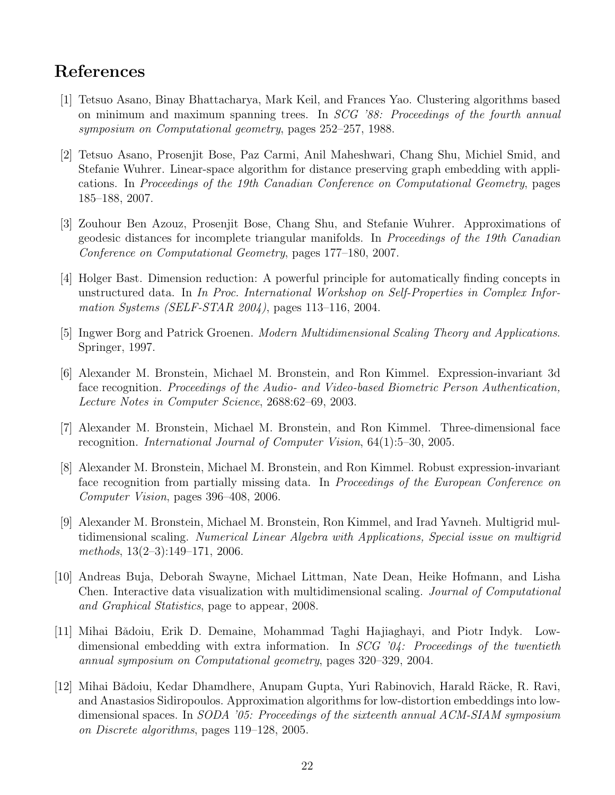# References

- [1] Tetsuo Asano, Binay Bhattacharya, Mark Keil, and Frances Yao. Clustering algorithms based on minimum and maximum spanning trees. In *SCG '88: Proceedings of the fourth annual symposium on Computational geometry*, pages 252–257, 1988.
- [2] Tetsuo Asano, Prosenjit Bose, Paz Carmi, Anil Maheshwari, Chang Shu, Michiel Smid, and Stefanie Wuhrer. Linear-space algorithm for distance preserving graph embedding with applications. In *Proceedings of the 19th Canadian Conference on Computational Geometry*, pages 185–188, 2007.
- [3] Zouhour Ben Azouz, Prosenjit Bose, Chang Shu, and Stefanie Wuhrer. Approximations of geodesic distances for incomplete triangular manifolds. In *Proceedings of the 19th Canadian Conference on Computational Geometry*, pages 177–180, 2007.
- [4] Holger Bast. Dimension reduction: A powerful principle for automatically finding concepts in unstructured data. In *In Proc. International Workshop on Self-Properties in Complex Information Systems (SELF-STAR 2004)*, pages 113–116, 2004.
- [5] Ingwer Borg and Patrick Groenen. *Modern Multidimensional Scaling Theory and Applications*. Springer, 1997.
- [6] Alexander M. Bronstein, Michael M. Bronstein, and Ron Kimmel. Expression-invariant 3d face recognition. *Proceedings of the Audio- and Video-based Biometric Person Authentication, Lecture Notes in Computer Science*, 2688:62–69, 2003.
- [7] Alexander M. Bronstein, Michael M. Bronstein, and Ron Kimmel. Three-dimensional face recognition. *International Journal of Computer Vision*, 64(1):5–30, 2005.
- [8] Alexander M. Bronstein, Michael M. Bronstein, and Ron Kimmel. Robust expression-invariant face recognition from partially missing data. In *Proceedings of the European Conference on Computer Vision*, pages 396–408, 2006.
- [9] Alexander M. Bronstein, Michael M. Bronstein, Ron Kimmel, and Irad Yavneh. Multigrid multidimensional scaling. *Numerical Linear Algebra with Applications, Special issue on multigrid methods*, 13(2–3):149–171, 2006.
- [10] Andreas Buja, Deborah Swayne, Michael Littman, Nate Dean, Heike Hofmann, and Lisha Chen. Interactive data visualization with multidimensional scaling. *Journal of Computational and Graphical Statistics*, page to appear, 2008.
- [11] Mihai Bǎdoiu, Erik D. Demaine, Mohammad Taghi Hajiaghayi, and Piotr Indyk. Lowdimensional embedding with extra information. In *SCG '04: Proceedings of the twentieth annual symposium on Computational geometry*, pages 320–329, 2004.
- [12] Mihai Bǎdoiu, Kedar Dhamdhere, Anupam Gupta, Yuri Rabinovich, Harald Räcke, R. Ravi, and Anastasios Sidiropoulos. Approximation algorithms for low-distortion embeddings into lowdimensional spaces. In *SODA '05: Proceedings of the sixteenth annual ACM-SIAM symposium on Discrete algorithms*, pages 119–128, 2005.